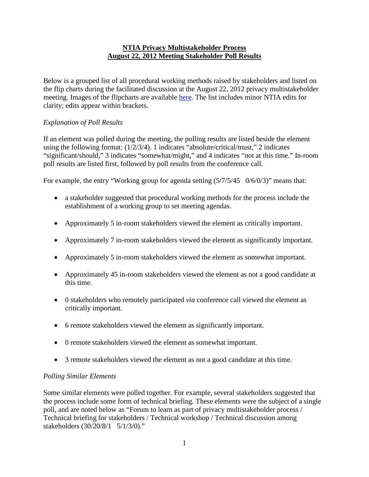## **NTIA Privacy Multistakeholder Process August 22, 2012 Meeting Stakeholder Poll Results**

Below is a grouped list of all procedural working methods raised by stakeholders and listed on the flip charts during the facilitated discussion at the August 22, 2012 privacy multistakeholder meeting. Images of the flipcharts are available [here.](http://www.ntia.doc.gov/files/ntia/publications/8_22_12_flipcharts.pdf) The list includes minor NTIA edits for clarity; edits appear within brackets.

## *Explanation of Poll Results*

If an element was polled during the meeting, the polling results are listed beside the element using the following format: (1/2/3/4). 1 indicates "absolute/critical/must," 2 indicates "significant/should," 3 indicates "somewhat/might," and 4 indicates "not at this time." In-room poll results are listed first, followed by poll results from the conference call.

For example, the entry "Working group for agenda setting  $(5/7/5/45 \ 0/6/0/3)$ " means that:

- a stakeholder suggested that procedural working methods for the process include the establishment of a working group to set meeting agendas.
- Approximately 5 in-room stakeholders viewed the element as critically important.
- Approximately 7 in-room stakeholders viewed the element as significantly important.
- Approximately 5 in-room stakeholders viewed the element as somewhat important.
- Approximately 45 in-room stakeholders viewed the element as not a good candidate at this time.
- 0 stakeholders who remotely participated *via* conference call viewed the element as critically important.
- 6 remote stakeholders viewed the element as significantly important.
- 0 remote stakeholders viewed the element as somewhat important.
- 3 remote stakeholders viewed the element as not a good candidate at this time.

## *Polling Similar Elements*

Some similar elements were polled together. For example, several stakeholders suggested that the process include some form of technical briefing. These elements were the subject of a single poll, and are noted below as "Forum to learn as part of privacy multistakeholder process / Technical briefing for stakeholders / Technical workshop / Technical discussion among stakeholders (30/20/8/1 5/1/3/0)."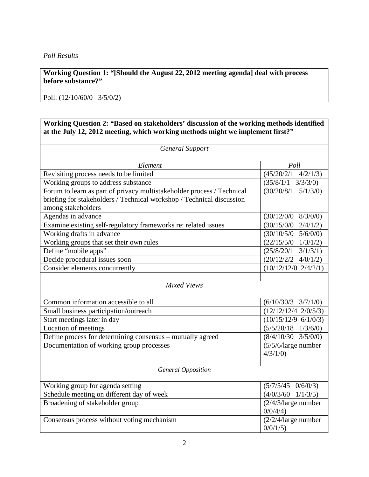*Poll Results*

**Working Question 1: "[Should the August 22, 2012 meeting agenda] deal with process before substance?"**

Poll: (12/10/60/0 3/5/0/2)

| Working Question 2: "Based on stakeholders' discussion of the working methods identified |
|------------------------------------------------------------------------------------------|
| at the July 12, 2012 meeting, which working methods might we implement first?"           |

| <b>General Support</b>                                                 |                               |  |
|------------------------------------------------------------------------|-------------------------------|--|
| Element                                                                | Poll                          |  |
| Revisiting process needs to be limited                                 | $(45/20/2/1 \quad 4/2/1/3)$   |  |
| Working groups to address substance                                    | $(35/8/1/1 \quad 3/3/3/0)$    |  |
| Forum to learn as part of privacy multistakeholder process / Technical | $(30/20/8/1 \t 5/1/3/0)$      |  |
| briefing for stakeholders / Technical workshop / Technical discussion  |                               |  |
| among stakeholders                                                     |                               |  |
| Agendas in advance                                                     | $(30/12/0/0 \quad 8/3/0/0)$   |  |
| Examine existing self-regulatory frameworks re: related issues         | 2/4/1/2<br>(30/15/0/0)        |  |
| Working drafts in advance                                              | $(30/10/5/0)$ 5/6/0/0)        |  |
| Working groups that set their own rules                                | $(22/15/5/0)$ $1/3/1/2)$      |  |
| Define "mobile apps"                                                   | $(25/8/20/1 \quad 3/1/3/1)$   |  |
| Decide procedural issues soon                                          | $(20/12/2/2 \quad 4/0/1/2)$   |  |
| Consider elements concurrently                                         | $(10/12/12/0 \t2/4/2/1)$      |  |
| <b>Mixed Views</b>                                                     |                               |  |
|                                                                        |                               |  |
| Common information accessible to all                                   | $(6/10/30/3 \t3/7/1/0)$       |  |
| Small business participation/outreach                                  | $(12/12/12/4 \t2/0/5/3)$      |  |
| Start meetings later in day                                            | (10/15/12/9 6/1/0/3)          |  |
| Location of meetings                                                   | $(5/5/20/18)$ $1/3/6/0$       |  |
| Define process for determining consensus - mutually agreed             | $(8/4/10/30)$ 3/5/0/0)        |  |
| Documentation of working group processes                               | $\sqrt{(5/5)}$ 6/large number |  |
|                                                                        | $4/3/1/0$ )                   |  |
|                                                                        |                               |  |
| <b>General Opposition</b>                                              |                               |  |
| Working group for agenda setting                                       | $(5/7/5/45 \quad 0/6/0/3)$    |  |
| Schedule meeting on different day of week                              | $(4/0/3/60)$ $1/1/3/5)$       |  |
| Broadening of stakeholder group                                        | $(2/4/3/1$ arge number        |  |
|                                                                        | $0/0/4/4$ )                   |  |
| Consensus process without voting mechanism                             | $(2/2/4/4)$ arge number       |  |
|                                                                        | $0/0/1/5$ )                   |  |